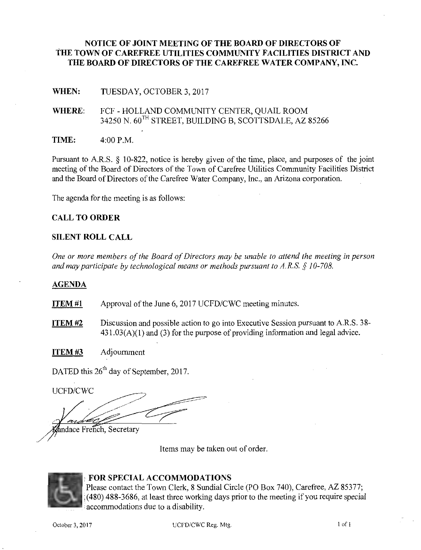# **NOTICE OF JOINT MEETING OF THE BOARD OF DIRECTORS OF THE TOWN OF CAREFREE UTILITIES COMMUNITY FACILITIES DISTRICT AND THE BOARD OF DIRECTORS OF THE CAREFREE WATER COMPANY,** INC.

**WHEN:**  TUESDAY, OCTOBER 3, 2017

- **WHERE:**  FCF - HOLLAND COMMUNITY CENTER, QUAIL ROOM 34250 N.  $60^{\text{TH}}$  STREET, BUILDING B, SCOTTSDALE, AZ 85266
- **TIME:**  4:00 P.M.

Pursuant to A.R.S. § 10-822, notice is hereby given of the time, place, and purposes of the joint meeting of the Board of Directors of the Town of Carefree Utilities Community Facilities District and the Board of Directors of the Carefree Water Company, Inc., an Arizona corporation.

The agenda for the meeting is as follows:

# **CALL TO ORDER**

#### **SILENT ROLL CALL**

*One or more members of the Board of Directors may be unable to attend the meeting in person and may participate by technological means or methods pursuant to A.R.S. § 10-708.* 

#### **AGENDA**

**ITEM#l**  Approval of the June 6, 2017 UCFD/CWC meeting minutes.

**ITEM#2**  Discussion and possible action to go into Executive Session pursuant to A.R.S. 38-  $431.03(A)(1)$  and (3) for the purpose of providing information and legal advice.

**ITEM#3**  Adjourmnent

DATED this  $26<sup>th</sup>$  day of September, 2017.

UCFD/CWC

andace French, Secretary

Items may be taken out of order.



/

# : **FOR SPECIAL ACCOMMODATIONS**

Please contact the Town Clerk, 8 Sundial Circle (PO Box 740), Carefree, AZ 85377; .(480) 488-3686, at least three working days prior to the meeting if you require special accommodations due to a disability.

October 3, 2017 UCFD/CWC Reg. Mtg. 2017 1 of 1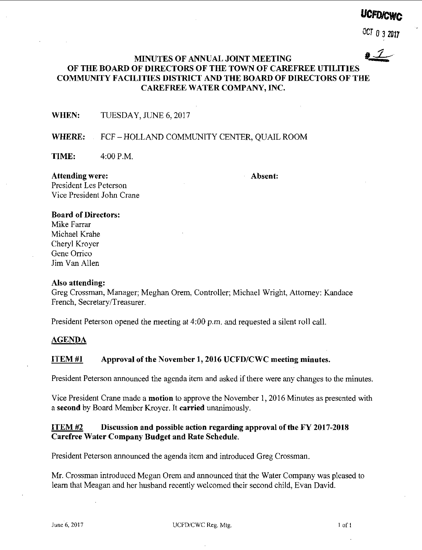# **UCFO!CWc**

OCT 0 3 **<sup>2017</sup>**

# **MINUTES OF ANNUAL JOINT MEETING II.** *1* / **OF THE BOARD OF DIRECTORS OF THE TOWN OF CAREFREE UTILITIES COMMUNITY FACILITIES DISTRICT AND THE BOARD OF DIRECTORS OF THE CAREFREE WATER COMPANY, INC.**

**WHEN:** TUESDAY, JUNE 6, 2017

# WHERE: FCF-HOLLAND COMMUNITY CENTER, QUAIL ROOM

**TIME:** 4:00P.M.

**Attending were:**  President Les Peterson **Absent:** 

Vice President John Crane

#### **Board of Directors:**

Mike Farrar Michael Krahe Cheryl Kroyer Gene Orrico Jim Van Allen

#### **Also attending:**

Greg Crossman, Manager; Meghan Orem, Controller; Michael Wright, Attorney: Kandace French, Secretary/Treasurer.

President Peterson opened the meeting at 4:00 p.m. and requested a silent roll call.

#### **AGENDA**

# **ITEM#l Approval of the November 1, 2016 UCFD/CWC meeting minutes.**

President Peterson announced the agenda item and asked if there were any changes to the minutes.

Vice President Crane made a **motion** to approve the November I, 2016 Minutes as presented with a **second** by Board Member Kroyer. It **carried** unanimously.

# **ITEM #2 Discussion and possible action regarding approval of the FY 2017-2018 Carefree Water Company Budget and Rate Schedule.**

President Peterson announced the agenda item and introduced Greg Crossman.

Mr. Crossman introduced Megan Orem and announced that the Water Company was pleased to learn that Meagan and her husband recently welcomed their second child, Evan David.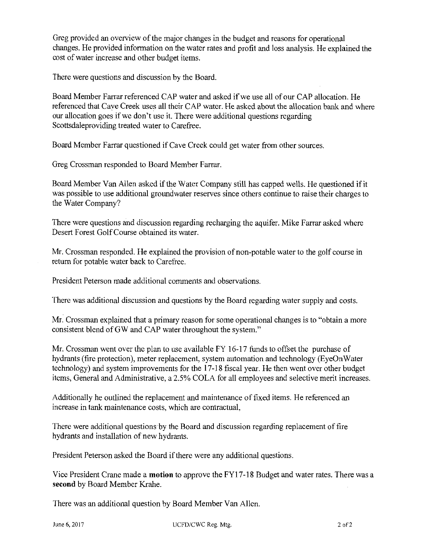Greg provided an overview of the major changes in the budget and reasons for operational changes. He provided information on the water rates and profit and loss analysis. He explained the cost of water increase and other budget items.

There were questions and discussion by the Board.

Board Member Farrar referenced CAP water and asked if we use all of our CAP allocation. He referenced that Cave Creek uses all their CAP water. He asked about the allocation bank and where our allocation goes if we don't use it. There were additional questions regarding Scottsdaleproviding treated water to Carefree.

Board Member Farrar questioned if Cave Creek could get water from other sources.

Greg Crossman responded to Board Member Farrar.

Board Member Van Allen asked if the Water Company still has capped wells. He questioned if it was possible to use additional groundwater reserves since others continue to raise their charges to the Water Company?

There were questions and discussion regarding recharging the aquifer. Mike Farrar asked where Desert Forest Golf Course obtained its water.

Mr. Crossman responded. He explained the provision of non-potable water to the golf course in return for potable water back to Carefree.

President Peterson made additional comments and observations.

There was additional discussion and questions by the Board regarding water supply and costs.

Mr. Crossman explained that a primary reason for some operational changes is to "obtain a more consistent blend of GW and CAP water throughout the system."

Mr. Crossman went over the plan to use available FY 16-17 funds to offset the purchase of hydrants (fire protection), meter replacement, system automation and technology (EyeOnWater technology) and system improvements for the 17-18 fiscal year. He then went over other budget items, General and Administrative, a 2.5% COLA for all employees and selective merit increases.

Additionally he outlined the replacement and maintenance of fixed items. He referenced an increase in tank maintenance costs, which are contractual,

There were additional questions by the Board and discussion regarding replacement of fire hydrants and installation of new hydrants.

President Peterson asked the Board if there were any additional questions.

Vice President Crane made a **motion** to approve the FYI 7-18 Budget and water rates. There was a **second** by Board Member Krahe.

There was an additional question by Board Member Van Allen.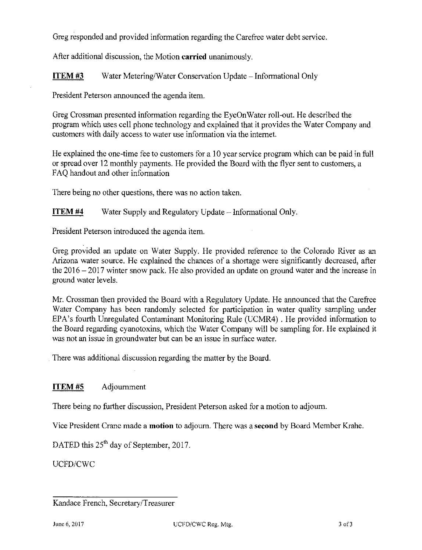Greg responded and provided information regarding the Carefree water debt service.

After additional discussion, the Motion **carried** unanimously.

**ITEM #3** Water Metering/Water Conservation Update - Informational Only

President Peterson announced the agenda item.

Greg Crossman presented information regarding the EyeOnWater roll-out. He described the program which uses cell phone technology and explained that it provides the Water Company and customers with daily access to water use information via the internet.

He explained the one-time fee to customers for a 10 year service program which can be paid in full or spread over 12 monthly payments. He provided the Board with the flyer sent to customers, a FAQ handout and other information

There being no other questions, there was no action taken.

**ITEM #4** Water Supply and Regulatory Update - Informational Only.

President Peterson introduced the agenda item.

Greg provided an update on Water Supply. He provided reference to the Colorado River as an Arizona water source. He explained the chances of a shortage were significantly decreased, after the  $2016 - 2017$  winter snow pack. He also provided an update on ground water and the increase in ground water levels.

Mr. Crossman then provided the Board with a Regulatory Update. He announced that the Carefree Water Company has been randomly selected for participation in water quality sampling under EPA's fourth Unregulated Contaminant Monitoring Rule (UCMR4) . He provided information to the Board regarding cyanotoxins, which the Water Company will be sampling for. He explained it was not an issue in groundwater but can be an issue in surface water.

There was additional discussion regarding the matter by the Board.

# **ITEM #5** Adjournment

There being no further discussion, President Peterson asked for a motion to adjourn.

Vice President Crane made a **motion** to adjourn. There was a **second** by Board Member Krahe.

DATED this  $25<sup>th</sup>$  day of September, 2017.

UCFD/CWC

Kandace French, Secretary/Treasurer